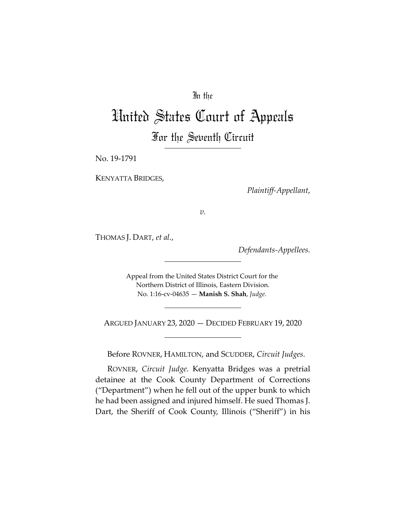## In the

## United States Court of Appeals For the Seventh Circuit

No. 19-1791

KENYATTA BRIDGES,

*Plaintiff-Appellant*,

*v.*

THOMAS J. DART, *et al.*,

*Defendants-Appellees.*

Appeal from the United States District Court for the Northern District of Illinois, Eastern Division. No. 1:16-cv-04635 — **Manish S. Shah**, *Judge.*

ARGUED JANUARY 23, 2020 — DECIDED FEBRUARY 19, 2020

Before ROVNER, HAMILTON, and SCUDDER, *Circuit Judges*.

ROVNER, *Circuit Judge.* Kenyatta Bridges was a pretrial detainee at the Cook County Department of Corrections ("Department") when he fell out of the upper bunk to which he had been assigned and injured himself. He sued Thomas J. Dart, the Sheriff of Cook County, Illinois ("Sheriff") in his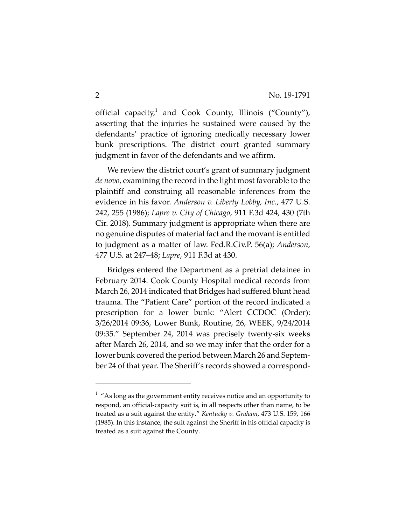official capacity,<sup>1</sup> and Cook County, Illinois ("County"), asserting that the injuries he sustained were caused by the defendants' practice of ignoring medically necessary lower bunk prescriptions. The district court granted summary judgment in favor of the defendants and we affirm.

We review the district court's grant of summary judgment *de novo*, examining the record in the light most favorable to the plaintiff and construing all reasonable inferences from the evidence in his favor. *Anderson v. Liberty Lobby, Inc.*, 477 U.S. 242, 255 (1986); *Lapre v. City of Chicago*, 911 F.3d 424, 430 (7th Cir. 2018). Summary judgment is appropriate when there are no genuine disputes of material fact and the movant is entitled to judgment as a matter of law. Fed.R.Civ.P. 56(a); *Anderson*, 477 U.S. at 247–48; *Lapre*, 911 F.3d at 430.

Bridges entered the Department as a pretrial detainee in February 2014. Cook County Hospital medical records from March 26, 2014 indicated that Bridges had suffered blunt head trauma. The "Patient Care" portion of the record indicated a prescription for a lower bunk: "Alert CCDOC (Order): 3/26/2014 09:36, Lower Bunk, Routine, 26, WEEK, 9/24/2014 09:35." September 24, 2014 was precisely twenty-six weeks after March 26, 2014, and so we may infer that the order for a lower bunk covered the period between March 26 and September 24 of that year. The Sheriff's records showed a correspond-

 $1$  "As long as the government entity receives notice and an opportunity to respond, an official-capacity suit is, in all respects other than name, to be treated as a suit against the entity." *Kentucky v. Graham*, 473 U.S. 159, 166 (1985). In this instance, the suit against the Sheriff in his official capacity is treated as a suit against the County.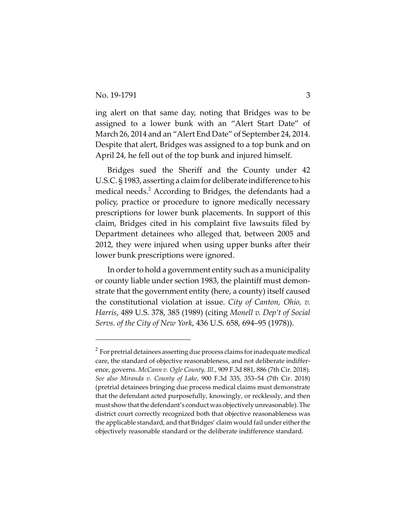ing alert on that same day, noting that Bridges was to be assigned to a lower bunk with an "Alert Start Date" of March 26, 2014 and an "Alert End Date" of September 24, 2014. Despite that alert, Bridges was assigned to a top bunk and on April 24, he fell out of the top bunk and injured himself.

Bridges sued the Sheriff and the County under 42 U.S.C. § 1983, asserting a claim for deliberate indifference to his medical needs.<sup>2</sup> According to Bridges, the defendants had a policy, practice or procedure to ignore medically necessary prescriptions for lower bunk placements. In support of this claim, Bridges cited in his complaint five lawsuits filed by Department detainees who alleged that, between 2005 and 2012, they were injured when using upper bunks after their lower bunk prescriptions were ignored.

In order to hold a government entity such as a municipality or county liable under section 1983, the plaintiff must demonstrate that the government entity (here, a county) itself caused the constitutional violation at issue. *City of Canton, Ohio, v. Harris*, 489 U.S. 378, 385 (1989) (citing *Monell v. Dep't of Social Servs. of the City of New York*, 436 U.S. 658, 694–95 (1978)).

 $^{\text{2}}$  For pretrial detainees asserting due process claims for inadequate medical care, the standard of objective reasonableness, and not deliberate indifference, governs. *McCann v. Ogle County, Ill.*, 909 F.3d 881, 886 (7th Cir. 2018). *See also Miranda v. County of Lake*, 900 F.3d 335, 353–54 (7th Cir. 2018) (pretrial detainees bringing due process medical claims must demonstrate that the defendant acted purposefully, knowingly, or recklessly, and then must show that the defendant's conduct was objectively unreasonable). The district court correctly recognized both that objective reasonableness was the applicable standard, and that Bridges' claim would fail under either the objectively reasonable standard or the deliberate indifference standard.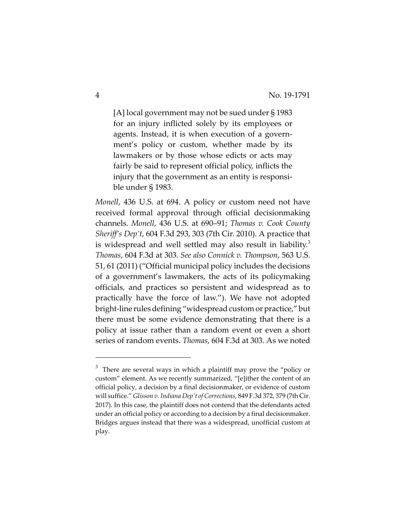[A] local government may not be sued under § 1983 for an injury inflicted solely by its employees or agents. Instead, it is when execution of a government's policy or custom, whether made by its lawmakers or by those whose edicts or acts may fairly be said to represent official policy, inflicts the injury that the government as an entity is responsible under § 1983.

*Monell*, 436 U.S. at 694. A policy or custom need not have received formal approval through official decisionmaking channels. *Monell*, 436 U.S. at 690–91; *Thomas v. Cook County Sheriff's Dep't*, 604 F.3d 293, 303 (7th Cir. 2010). A practice that is widespread and well settled may also result in liability.<sup>3</sup> *Thomas*, 604 F.3d at 303. *See also Connick v. Thompson*, 563 U.S. 51, 61 (2011) ("Official municipal policy includes the decisions of a government's lawmakers, the acts of its policymaking officials, and practices so persistent and widespread as to practically have the force of law."). We have not adopted bright-line rules defining "widespread custom or practice," but there must be some evidence demonstrating that there is a policy at issue rather than a random event or even a short series of random events. *Thomas*, 604 F.3d at 303. As we noted

 $3$  There are several ways in which a plaintiff may prove the "policy or custom" element. As we recently summarized, "[e]ither the content of an official policy, a decision by a final decisionmaker, or evidence of custom will suffice." *Glisson v. Indiana Dep't of Corrections*, 849 F.3d 372, 379 (7th Cir. 2017). In this case, the plaintiff does not contend that the defendants acted under an official policy or according to a decision by a final decisionmaker. Bridges argues instead that there was a widespread, unofficial custom at play.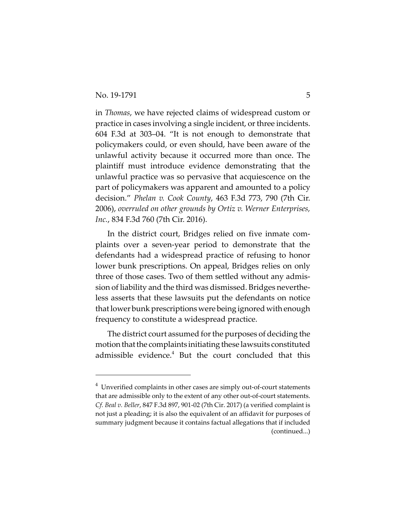in *Thomas*, we have rejected claims of widespread custom or practice in cases involving a single incident, or three incidents. 604 F.3d at 303–04. "It is not enough to demonstrate that policymakers could, or even should, have been aware of the unlawful activity because it occurred more than once. The plaintiff must introduce evidence demonstrating that the unlawful practice was so pervasive that acquiescence on the part of policymakers was apparent and amounted to a policy decision." *Phelan v. Cook County*, 463 F.3d 773, 790 (7th Cir. 2006), *overruled on other grounds by Ortiz v. Werner Enterprises, Inc.*, 834 F.3d 760 (7th Cir. 2016).

In the district court, Bridges relied on five inmate complaints over a seven-year period to demonstrate that the defendants had a widespread practice of refusing to honor lower bunk prescriptions. On appeal, Bridges relies on only three of those cases. Two of them settled without any admission of liability and the third was dismissed. Bridges nevertheless asserts that these lawsuits put the defendants on notice that lower bunk prescriptions were being ignored with enough frequency to constitute a widespread practice.

The district court assumed for the purposes of deciding the motion that the complaints initiating these lawsuits constituted admissible evidence.<sup>4</sup> But the court concluded that this

 $4$  Unverified complaints in other cases are simply out-of-court statements that are admissible only to the extent of any other out-of-court statements. *Cf. Beal v. Beller*, 847 F.3d 897, 901-02 (7th Cir. 2017) (a verified complaint is not just a pleading; it is also the equivalent of an affidavit for purposes of summary judgment because it contains factual allegations that if included (continued...)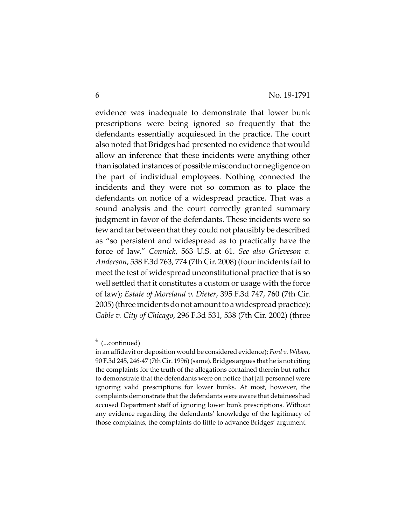evidence was inadequate to demonstrate that lower bunk prescriptions were being ignored so frequently that the defendants essentially acquiesced in the practice. The court also noted that Bridges had presented no evidence that would allow an inference that these incidents were anything other than isolated instances of possible misconduct or negligence on the part of individual employees. Nothing connected the incidents and they were not so common as to place the defendants on notice of a widespread practice. That was a sound analysis and the court correctly granted summary judgment in favor of the defendants. These incidents were so few and far between that they could not plausibly be described as "so persistent and widespread as to practically have the force of law." *Connick*, 563 U.S. at 61. *See also Grieveson v. Anderson*, 538 F.3d 763, 774 (7th Cir. 2008) (four incidents fail to meet the test of widespread unconstitutional practice that is so well settled that it constitutes a custom or usage with the force of law); *Estate of Moreland v. Dieter*, 395 F.3d 747, 760 (7th Cir. 2005) (three incidents do not amount to a widespread practice); *Gable v. City of Chicago*, 296 F.3d 531, 538 (7th Cir. 2002) (three

<sup>&</sup>lt;sup>4</sup> (...continued)

in an affidavit or deposition would be considered evidence); *Ford v. Wilson*, 90 F.3d 245, 246-47 (7th Cir. 1996) (same). Bridges argues that he is not citing the complaints for the truth of the allegations contained therein but rather to demonstrate that the defendants were on notice that jail personnel were ignoring valid prescriptions for lower bunks. At most, however, the complaints demonstrate that the defendants were aware that detainees had accused Department staff of ignoring lower bunk prescriptions. Without any evidence regarding the defendants' knowledge of the legitimacy of those complaints, the complaints do little to advance Bridges' argument.